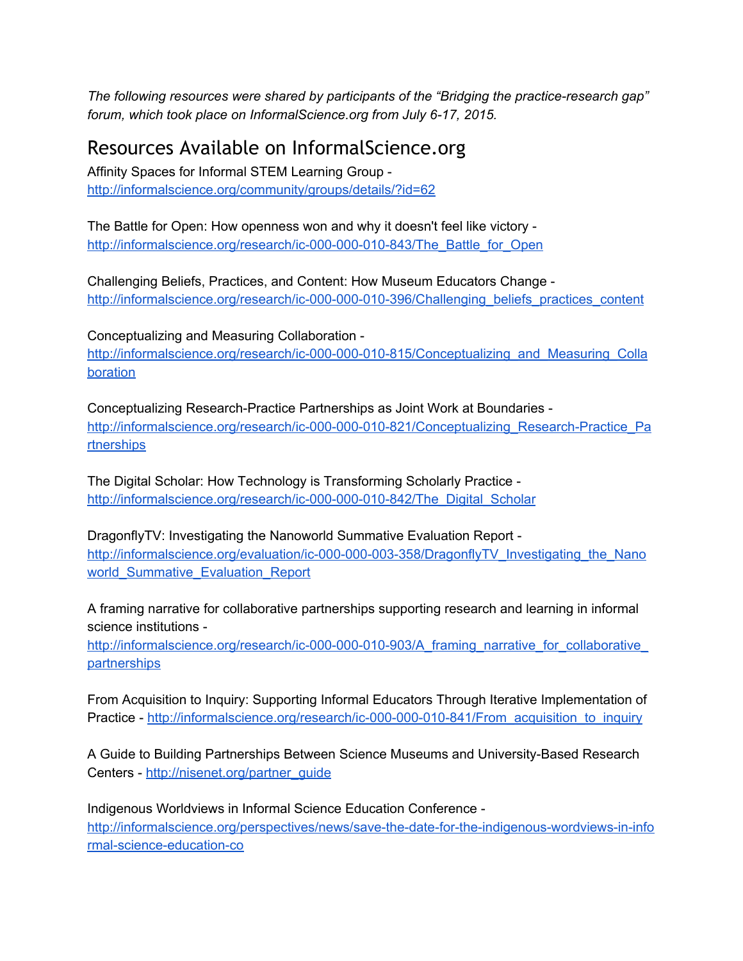*The following resources were shared by participants of the "Bridging the practiceresearch gap" forum, which took place on InformalScience.org from July 6-17, 2015.* 

## Resources Available on InformalScience.org

Affinity Spaces for Informal STEM Learning Group <http://informalscience.org/community/groups/details/?id=62>

The Battle for Open: How openness won and why it doesn't feel like victory http://informalscience.org/research/ic-000-000-010-843/The\_Battle\_for\_Open

Challenging Beliefs, Practices, and Content: How Museum Educators Change http://informalscience.org/research/ic-000-000-010-396/Challenging\_beliefs\_practices\_content

Conceptualizing and Measuring Collaboration

http://informalscience.org/research/ic-000-000-010-815/Conceptualizing and Measuring Colla [boration](http://informalscience.org/research/ic-000-000-010-815/Conceptualizing_and_Measuring_Collaboration)

Conceptualizing Research-Practice Partnerships as Joint Work at Boundaries http://informalscience.org/research/ic-000-000-010-821/Conceptualizing\_Research-Practice\_Pa [rtnerships](http://informalscience.org/research/ic-000-000-010-821/Conceptualizing_Research-Practice_Partnerships)

The Digital Scholar: How Technology is Transforming Scholarly Practice http://informalscience.org/research/ic-000-000-010-842/The\_Digital\_Scholar

DragonflyTV: Investigating the Nanoworld Summative Evaluation Report http://informalscience.org/evaluation/ic-000-000-003-358/DragonflyTV\_Investigating\_the\_Nano [world\\_Summative\\_Evaluation\\_Report](http://informalscience.org/evaluation/ic-000-000-003-358/DragonflyTV_Investigating_the_Nanoworld_Summative_Evaluation_Report)

A framing narrative for collaborative partnerships supporting research and learning in informal science institutions

http://informalscience.org/research/ic-000-000-010-903/A\_framing\_narrative\_for\_collaborative\_ [partnerships](http://informalscience.org/research/ic-000-000-010-903/A_framing_narrative_for_collaborative_partnerships)

From Acquisition to Inquiry: Supporting Informal Educators Through Iterative Implementation of Practice - http://informalscience.org/research/ic-000-000-010-841/From\_acquisition\_to\_inquiry

A Guide to Building Partnerships Between Science Museums and University-Based Research Centers - [http://nisenet.org/partner\\_guide](http://nisenet.org/partner_guide)

Indigenous Worldviews in Informal Science Education Conference http://informalscience.org/perspectives/news/save-the-date-for-the-indigenous-wordviews-in-info rmal-science-education-co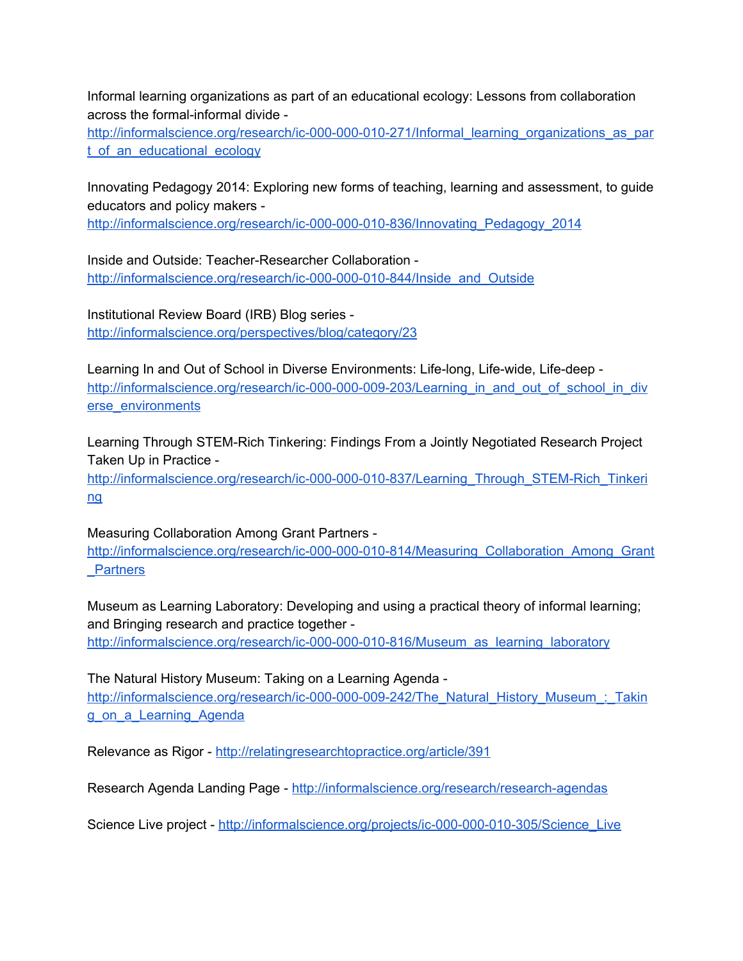Informal learning organizations as part of an educational ecology: Lessons from collaboration across the formal-informal divide -

http://informalscience.org/research/ic-000-000-010-271/Informal\_learning\_organizations\_as\_par [t\\_of\\_an\\_educational\\_ecology](http://informalscience.org/research/ic-000-000-010-271/Informal_learning_organizations_as_part_of_an_educational_ecology)

Innovating Pedagogy 2014: Exploring new forms of teaching, learning and assessment, to guide educators and policy makers

http://informalscience.org/research/ic-000-000-010-836/Innovating\_Pedagogy\_2014

Inside and Outside: Teacher-Researcher Collaboration http://informalscience.org/research/ic-000-000-010-844/Inside\_and\_Outside

Institutional Review Board (IRB) Blog series <http://informalscience.org/perspectives/blog/category/23>

Learning In and Out of School in Diverse Environments: Life-long, Life-wide, Life-deep http://informalscience.org/research/ic-000-000-009-203/Learning\_in\_and\_out\_of\_school\_in\_div [erse\\_environments](http://informalscience.org/research/ic-000-000-009-203/Learning_in_and_out_of_school_in_diverse_environments)

Learning Through STEM-Rich Tinkering: Findings From a Jointly Negotiated Research Project Taken Up in Practice

http://informalscience.org/research/ic-000-000-010-837/Learning\_Through\_STEM-Rich\_Tinkeri [ng](http://informalscience.org/research/ic-000-000-010-837/Learning_Through_STEM-Rich_Tinkering)

Measuring Collaboration Among Grant Partners http://informalscience.org/research/ic-000-000-010-814/Measuring\_Collaboration\_Among\_Grant [\\_Partners](http://informalscience.org/research/ic-000-000-010-814/Measuring_Collaboration_Among_Grant_Partners)

Museum as Learning Laboratory: Developing and using a practical theory of informal learning; and Bringing research and practice together

http://informalscience.org/research/ic-000-000-010-816/Museum\_as\_learning\_laboratory

The Natural History Museum: Taking on a Learning Agenda http://informalscience.org/research/ic-000-000-009-242/The\_Natural\_History\_Museum\_:\_Takin [g\\_on\\_a\\_Learning\\_Agenda](http://informalscience.org/research/ic-000-000-009-242/The_Natural_History_Museum_:_Taking_on_a_Learning_Agenda)

Relevance as Rigor - <http://relatingresearchtopractice.org/article/391>

Research Agenda Landing Page - http://informalscience.org/research/research-agendas

Science Live project - http://informalscience.org/projects/ic-000-000-010-305/Science\_Live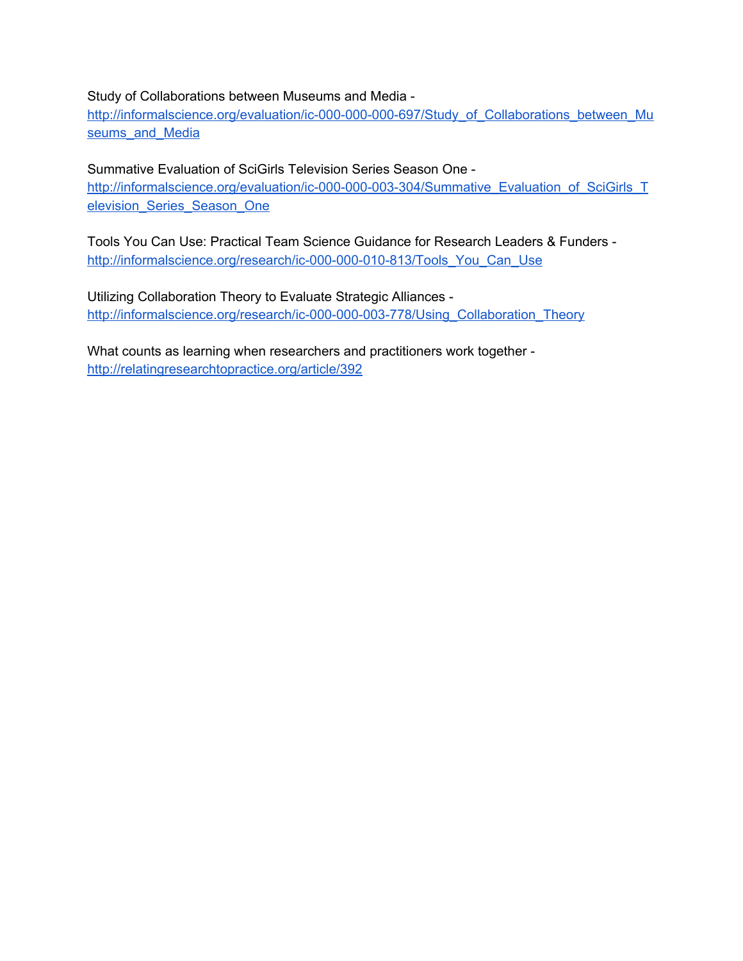## Study of Collaborations between Museums and Media

http://informalscience.org/evaluation/ic-000-000-000-697/Study\_of\_Collaborations\_between\_Mu seums and Media

Summative Evaluation of SciGirls Television Series Season One

http://informalscience.org/evaluation/ic-000-000-003-304/Summative\_Evaluation\_of\_SciGirls\_T elevision Series Season One

Tools You Can Use: Practical Team Science Guidance for Research Leaders & Funders http://informalscience.org/research/ic-000-000-010-813/Tools\_You\_Can\_Use

Utilizing Collaboration Theory to Evaluate Strategic Alliances http://informalscience.org/research/ic-000-000-003-778/Using\_Collaboration\_Theory

What counts as learning when researchers and practitioners work together <http://relatingresearchtopractice.org/article/392>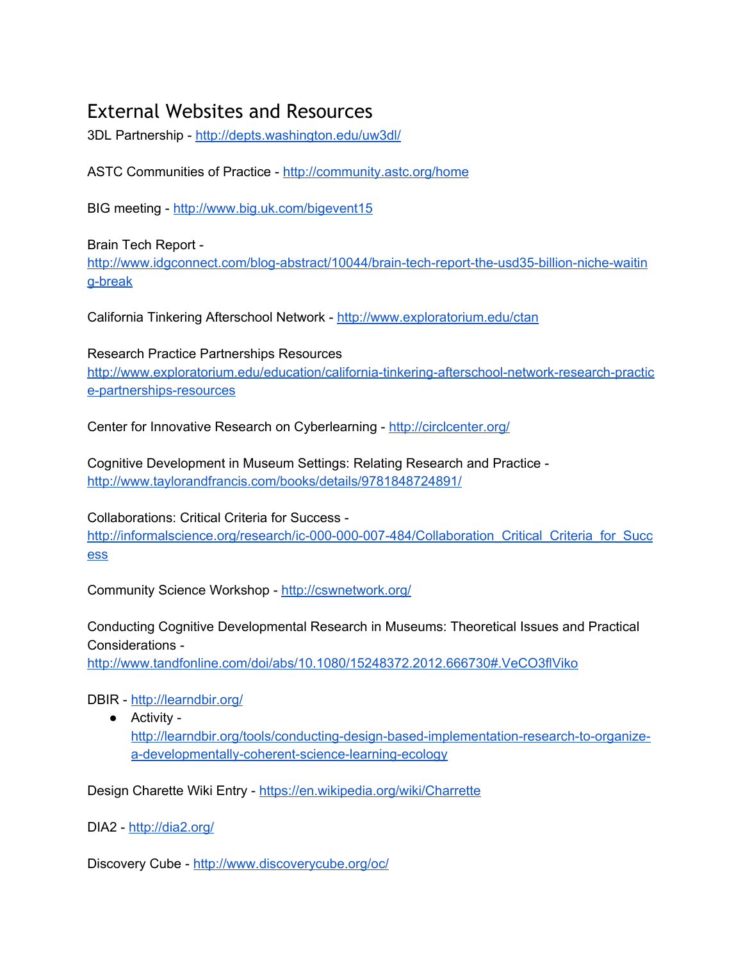## External Websites and Resources

3DL Partnership - <http://depts.washington.edu/uw3dl/>

ASTC Communities of Practice <http://community.astc.org/home>

BIG meeting - <http://www.big.uk.com/bigevent15>

Brain Tech Report http://www.idgconnect.com/blog-abstract/10044/brain-tech-report-the-usd35-billion-niche-waitin g-break

California Tinkering Afterschool Network - <http://www.exploratorium.edu/ctan>

Research Practice Partnerships Resources http://www.exploratorium.edu/education/california-tinkering-afterschool-network-research-practic e-partnerships-resources

Center for Innovative Research on Cyberlearning - <http://circlcenter.org/>

Cognitive Development in Museum Settings: Relating Research and Practice <http://www.taylorandfrancis.com/books/details/9781848724891/>

Collaborations: Critical Criteria for Success http://informalscience.org/research/ic-000-000-007-484/Collaboration\_Critical\_Criteria\_for\_Succ [ess](http://informalscience.org/research/ic-000-000-007-484/Collaboration_Critical_Criteria_for_Success)

Community Science Workshop - <http://cswnetwork.org/>

Conducting Cognitive Developmental Research in Museums: Theoretical Issues and Practical Considerations

<http://www.tandfonline.com/doi/abs/10.1080/15248372.2012.666730#.VeCO3flViko>

## DBIR - <http://learndbir.org/>

● Activity http://learndbir.org/tools/conducting-design-based-implementation-research-to-organizea-developmentally-coherent-science-learning-ecology

Design Charette Wiki Entry - <https://en.wikipedia.org/wiki/Charrette>

DIA2 - <http://dia2.org/>

Discovery Cube - <http://www.discoverycube.org/oc/>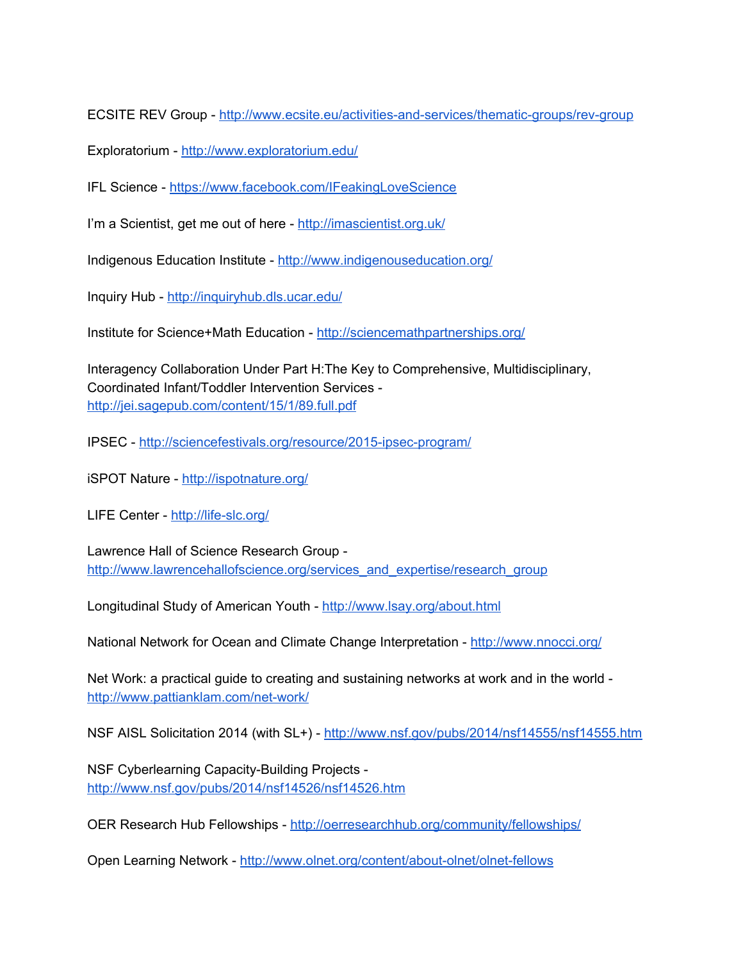ECSITE REV Group - http://www.ecsite.eu/activities-and-services/thematic-groups/rev-group

Exploratorium - <http://www.exploratorium.edu/>

IFL Science <https://www.facebook.com/IFeakingLoveScience>

I'm a Scientist, get me out of here - <http://imascientist.org.uk/>

Indigenous Education Institute - <http://www.indigenouseducation.org/>

Inquiry Hub - <http://inquiryhub.dls.ucar.edu/>

Institute for Science+Math Education - <http://sciencemathpartnerships.org/>

Interagency Collaboration Under Part H:The Key to Comprehensive, Multidisciplinary, Coordinated Infant/Toddler Intervention Services <http://jei.sagepub.com/content/15/1/89.full.pdf>

IPSEC - http://sciencefestivals.org/resource/2015-ipsec-program/

iSPOT Nature - <http://ispotnature.org/>

LIFE Center - http://life-slc.org/

Lawrence Hall of Science Research Group [http://www.lawrencehallofscience.org/services\\_and\\_expertise/research\\_group](http://www.lawrencehallofscience.org/services_and_expertise/research_group)

Longitudinal Study of American Youth - <http://www.lsay.org/about.html>

National Network for Ocean and Climate Change Interpretation - <http://www.nnocci.org/>

Net Work: a practical guide to creating and sustaining networks at work and in the world http://www.pattianklam.com/net-work/

NSF AISL Solicitation 2014 (with SL+) - <http://www.nsf.gov/pubs/2014/nsf14555/nsf14555.htm>

NSF Cyberlearning Capacity-Building Projects <http://www.nsf.gov/pubs/2014/nsf14526/nsf14526.htm>

OER Research Hub Fellowships <http://oerresearchhub.org/community/fellowships/>

Open Learning Network - http://www.olnet.org/content/about-olnet/olnet-fellows